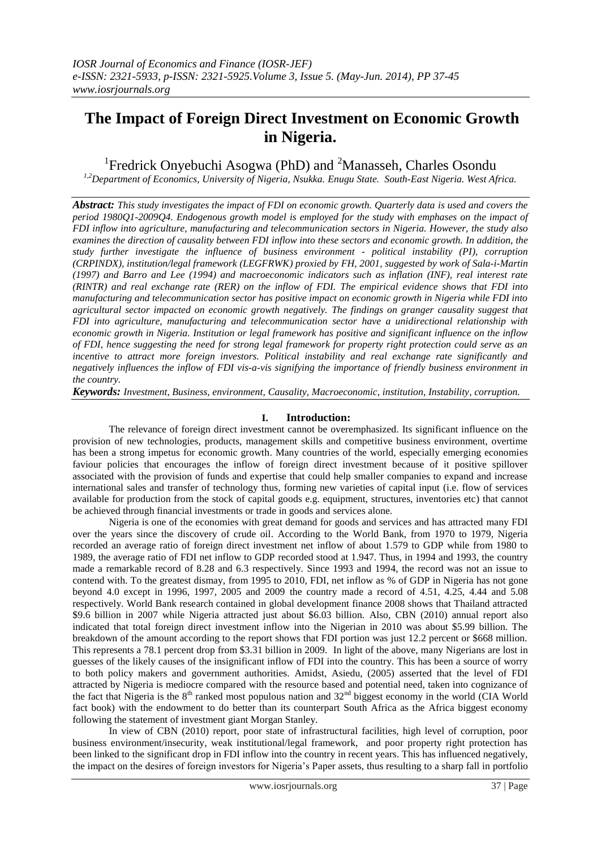# **The Impact of Foreign Direct Investment on Economic Growth in Nigeria.**

<sup>1</sup> Fredrick Onyebuchi Asogwa (PhD) and <sup>2</sup> Manasseh, Charles Osondu

*1,2Department of Economics, University of Nigeria, Nsukka. Enugu State. South-East Nigeria. West Africa.*

*Abstract: This study investigates the impact of FDI on economic growth. Quarterly data is used and covers the period 1980Q1-2009Q4. Endogenous growth model is employed for the study with emphases on the impact of FDI inflow into agriculture, manufacturing and telecommunication sectors in Nigeria. However, the study also examines the direction of causality between FDI inflow into these sectors and economic growth. In addition, the study further investigate the influence of business environment - political instability (PI), corruption (CRPINDX), institution/legal framework (LEGFRWK) proxied by FH, 2001, suggested by work of Sala-i-Martin (1997) and Barro and Lee (1994) and macroeconomic indicators such as inflation (INF), real interest rate (RINTR) and real exchange rate (RER) on the inflow of FDI. The empirical evidence shows that FDI into manufacturing and telecommunication sector has positive impact on economic growth in Nigeria while FDI into agricultural sector impacted on economic growth negatively. The findings on granger causality suggest that FDI into agriculture, manufacturing and telecommunication sector have a unidirectional relationship with economic growth in Nigeria. Institution or legal framework has positive and significant influence on the inflow of FDI, hence suggesting the need for strong legal framework for property right protection could serve as an incentive to attract more foreign investors. Political instability and real exchange rate significantly and negatively influences the inflow of FDI vis-a-vis signifying the importance of friendly business environment in the country.*

*Keywords: Investment, Business, environment, Causality, Macroeconomic, institution, Instability, corruption.*

## **I. Introduction:**

The relevance of foreign direct investment cannot be overemphasized. Its significant influence on the provision of new technologies, products, management skills and competitive business environment, overtime has been a strong impetus for economic growth. Many countries of the world, especially emerging economies faviour policies that encourages the inflow of foreign direct investment because of it positive spillover associated with the provision of funds and expertise that could help smaller companies to expand and increase international sales and transfer of technology thus, forming new varieties of capital input (i.e. flow of services available for production from the stock of capital goods e.g. equipment, structures, inventories etc) that cannot be achieved through financial investments or trade in goods and services alone.

Nigeria is one of the economies with great demand for goods and services and has attracted many FDI over the years since the discovery of crude oil. According to the World Bank, from 1970 to 1979, Nigeria recorded an average ratio of foreign direct investment net inflow of about 1.579 to GDP while from 1980 to 1989, the average ratio of FDI net inflow to GDP recorded stood at 1.947. Thus, in 1994 and 1993, the country made a remarkable record of 8.28 and 6.3 respectively. Since 1993 and 1994, the record was not an issue to contend with. To the greatest dismay, from 1995 to 2010, FDI, net inflow as % of GDP in Nigeria has not gone beyond 4.0 except in 1996, 1997, 2005 and 2009 the country made a record of 4.51, 4.25, 4.44 and 5.08 respectively. World Bank research contained in global development finance 2008 shows that Thailand attracted \$9.6 billion in 2007 while Nigeria attracted just about \$6.03 billion. Also, CBN (2010) annual report also indicated that total foreign direct investment inflow into the Nigerian in 2010 was about \$5.99 billion. The breakdown of the amount according to the report shows that FDI portion was just 12.2 percent or \$668 million. This represents a 78.1 percent drop from \$3.31 billion in 2009. In light of the above, many Nigerians are lost in guesses of the likely causes of the insignificant inflow of FDI into the country. This has been a source of worry to both policy makers and government authorities. Amidst, Asiedu, (2005) asserted that the level of FDI attracted by Nigeria is mediocre compared with the resource based and potential need, taken into cognizance of the fact that Nigeria is the 8<sup>th</sup> ranked most populous nation and 32<sup>nd</sup> biggest economy in the world (CIA World) fact book) with the endowment to do better than its counterpart South Africa as the Africa biggest economy following the statement of investment giant Morgan Stanley.

In view of CBN (2010) report, poor state of infrastructural facilities, high level of corruption, poor business environment/insecurity, weak institutional/legal framework, and poor property right protection has been linked to the significant drop in FDI inflow into the country in recent years. This has influenced negatively, the impact on the desires of foreign investors for Nigeria"s Paper assets, thus resulting to a sharp fall in portfolio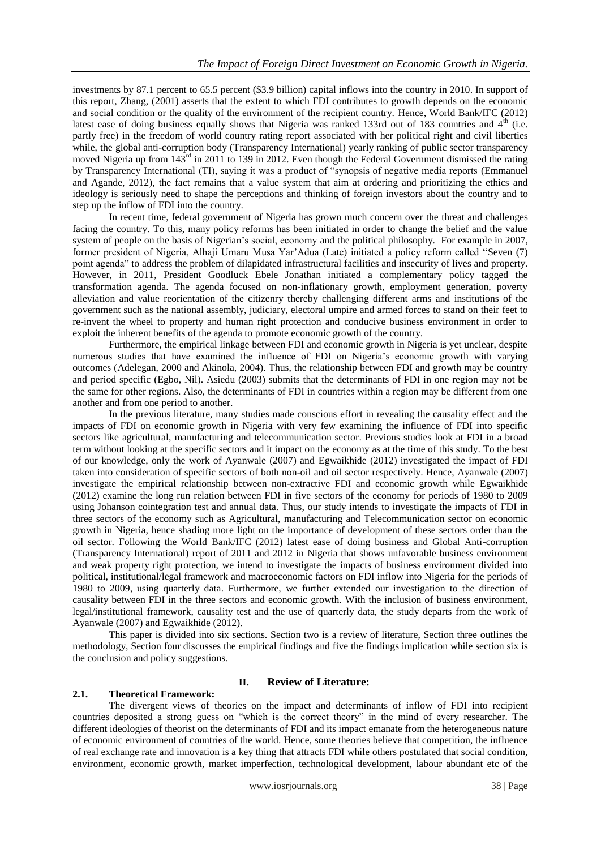investments by 87.1 percent to 65.5 percent (\$3.9 billion) capital inflows into the country in 2010. In support of this report, Zhang, (2001) asserts that the extent to which FDI contributes to growth depends on the economic and social condition or the quality of the environment of the recipient country. Hence, World Bank/IFC (2012) latest ease of doing business equally shows that Nigeria was ranked 133rd out of 183 countries and  $4<sup>th</sup>$  (i.e. partly free) in the freedom of world country rating report associated with her political right and civil liberties while, the global anti-corruption body (Transparency International) yearly ranking of public sector transparency moved Nigeria up from 143<sup>rd</sup> in 2011 to 139 in 2012. Even though the Federal Government dismissed the rating by Transparency International (TI), saying it was a product of "synopsis of negative media reports (Emmanuel and Agande, 2012), the fact remains that a value system that aim at ordering and prioritizing the ethics and ideology is seriously need to shape the perceptions and thinking of foreign investors about the country and to step up the inflow of FDI into the country.

In recent time, federal government of Nigeria has grown much concern over the threat and challenges facing the country. To this, many policy reforms has been initiated in order to change the belief and the value system of people on the basis of Nigerian's social, economy and the political philosophy. For example in 2007, former president of Nigeria, Alhaji Umaru Musa Yar"Adua (Late) initiated a policy reform called "Seven (7) point agenda" to address the problem of dilapidated infrastructural facilities and insecurity of lives and property. However, in 2011, President Goodluck Ebele Jonathan initiated a complementary policy tagged the transformation agenda. The agenda focused on non-inflationary growth, employment generation, poverty alleviation and value reorientation of the citizenry thereby challenging different arms and institutions of the government such as the national assembly, judiciary, electoral umpire and armed forces to stand on their feet to re-invent the wheel to property and human right protection and conducive business environment in order to exploit the inherent benefits of the agenda to promote economic growth of the country.

Furthermore, the empirical linkage between FDI and economic growth in Nigeria is yet unclear, despite numerous studies that have examined the influence of FDI on Nigeria"s economic growth with varying outcomes (Adelegan, 2000 and Akinola, 2004). Thus, the relationship between FDI and growth may be country and period specific (Egbo, Nil). Asiedu (2003) submits that the determinants of FDI in one region may not be the same for other regions. Also, the determinants of FDI in countries within a region may be different from one another and from one period to another.

In the previous literature, many studies made conscious effort in revealing the causality effect and the impacts of FDI on economic growth in Nigeria with very few examining the influence of FDI into specific sectors like agricultural, manufacturing and telecommunication sector. Previous studies look at FDI in a broad term without looking at the specific sectors and it impact on the economy as at the time of this study. To the best of our knowledge, only the work of Ayanwale (2007) and Egwaikhide (2012) investigated the impact of FDI taken into consideration of specific sectors of both non-oil and oil sector respectively. Hence, Ayanwale (2007) investigate the empirical relationship between non-extractive FDI and economic growth while Egwaikhide (2012) examine the long run relation between FDI in five sectors of the economy for periods of 1980 to 2009 using Johanson cointegration test and annual data. Thus, our study intends to investigate the impacts of FDI in three sectors of the economy such as Agricultural, manufacturing and Telecommunication sector on economic growth in Nigeria, hence shading more light on the importance of development of these sectors order than the oil sector. Following the World Bank/IFC (2012) latest ease of doing business and Global Anti-corruption (Transparency International) report of 2011 and 2012 in Nigeria that shows unfavorable business environment and weak property right protection, we intend to investigate the impacts of business environment divided into political, institutional/legal framework and macroeconomic factors on FDI inflow into Nigeria for the periods of 1980 to 2009, using quarterly data. Furthermore, we further extended our investigation to the direction of causality between FDI in the three sectors and economic growth. With the inclusion of business environment, legal/institutional framework, causality test and the use of quarterly data, the study departs from the work of Ayanwale (2007) and Egwaikhide (2012).

This paper is divided into six sections. Section two is a review of literature, Section three outlines the methodology, Section four discusses the empirical findings and five the findings implication while section six is the conclusion and policy suggestions.

## **II. Review of Literature:**

## **2.1. Theoretical Framework:**

The divergent views of theories on the impact and determinants of inflow of FDI into recipient countries deposited a strong guess on "which is the correct theory" in the mind of every researcher. The different ideologies of theorist on the determinants of FDI and its impact emanate from the heterogeneous nature of economic environment of countries of the world. Hence, some theories believe that competition, the influence of real exchange rate and innovation is a key thing that attracts FDI while others postulated that social condition, environment, economic growth, market imperfection, technological development, labour abundant etc of the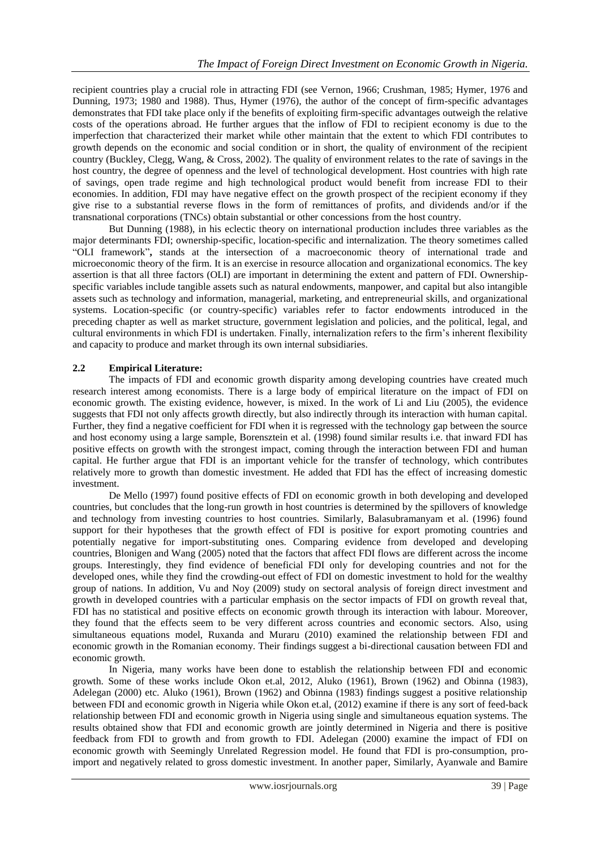recipient countries play a crucial role in attracting FDI (see Vernon, 1966; Crushman, 1985; Hymer, 1976 and Dunning, 1973; 1980 and 1988). Thus, Hymer (1976), the author of the concept of firm-specific advantages demonstrates that FDI take place only if the benefits of exploiting firm-specific advantages outweigh the relative costs of the operations abroad. He further argues that the inflow of FDI to recipient economy is due to the imperfection that characterized their market while other maintain that the extent to which FDI contributes to growth depends on the economic and social condition or in short, the quality of environment of the recipient country (Buckley, Clegg, Wang, & Cross, 2002). The quality of environment relates to the rate of savings in the host country, the degree of openness and the level of technological development. Host countries with high rate of savings, open trade regime and high technological product would benefit from increase FDI to their economies. In addition, FDI may have negative effect on the growth prospect of the recipient economy if they give rise to a substantial reverse flows in the form of remittances of profits, and dividends and/or if the transnational corporations (TNCs) obtain substantial or other concessions from the host country.

But Dunning (1988), in his eclectic theory on international production includes three variables as the major determinants FDI; ownership-specific, location-specific and internalization. The theory sometimes called "OLI framework"**,** stands at the intersection of a macroeconomic theory of international trade and microeconomic theory of the firm. It is an exercise in resource allocation and organizational economics. The key assertion is that all three factors (OLI) are important in determining the extent and pattern of FDI. Ownershipspecific variables include tangible assets such as natural endowments, manpower, and capital but also intangible assets such as technology and information, managerial, marketing, and entrepreneurial skills, and organizational systems. Location-specific (or country-specific) variables refer to factor endowments introduced in the preceding chapter as well as market structure, government legislation and policies, and the political, legal, and cultural environments in which FDI is undertaken. Finally, internalization refers to the firm"s inherent flexibility and capacity to produce and market through its own internal subsidiaries.

## **2.2 Empirical Literature:**

The impacts of FDI and economic growth disparity among developing countries have created much research interest among economists. There is a large body of empirical literature on the impact of FDI on economic growth. The existing evidence, however, is mixed. In the work of Li and Liu (2005), the evidence suggests that FDI not only affects growth directly, but also indirectly through its interaction with human capital. Further, they find a negative coefficient for FDI when it is regressed with the technology gap between the source and host economy using a large sample, Borensztein et al. (1998) found similar results i.e. that inward FDI has positive effects on growth with the strongest impact, coming through the interaction between FDI and human capital. He further argue that FDI is an important vehicle for the transfer of technology, which contributes relatively more to growth than domestic investment. He added that FDI has the effect of increasing domestic investment.

De Mello (1997) found positive effects of FDI on economic growth in both developing and developed countries, but concludes that the long-run growth in host countries is determined by the spillovers of knowledge and technology from investing countries to host countries. Similarly, Balasubramanyam et al. (1996) found support for their hypotheses that the growth effect of FDI is positive for export promoting countries and potentially negative for import-substituting ones. Comparing evidence from developed and developing countries, Blonigen and Wang (2005) noted that the factors that affect FDI flows are different across the income groups. Interestingly, they find evidence of beneficial FDI only for developing countries and not for the developed ones, while they find the crowding-out effect of FDI on domestic investment to hold for the wealthy group of nations. In addition, Vu and Noy (2009) study on sectoral analysis of foreign direct investment and growth in developed countries with a particular emphasis on the sector impacts of FDI on growth reveal that, FDI has no statistical and positive effects on economic growth through its interaction with labour. Moreover, they found that the effects seem to be very different across countries and economic sectors. Also, using simultaneous equations model, Ruxanda and Muraru (2010) examined the relationship between FDI and economic growth in the Romanian economy. Their findings suggest a bi-directional causation between FDI and economic growth.

In Nigeria, many works have been done to establish the relationship between FDI and economic growth. Some of these works include Okon et.al, 2012, Aluko (1961), Brown (1962) and Obinna (1983), Adelegan (2000) etc. Aluko (1961), Brown (1962) and Obinna (1983) findings suggest a positive relationship between FDI and economic growth in Nigeria while Okon et.al, (2012) examine if there is any sort of feed-back relationship between FDI and economic growth in Nigeria using single and simultaneous equation systems. The results obtained show that FDI and economic growth are jointly determined in Nigeria and there is positive feedback from FDI to growth and from growth to FDI. Adelegan (2000) examine the impact of FDI on economic growth with Seemingly Unrelated Regression model. He found that FDI is pro-consumption, proimport and negatively related to gross domestic investment. In another paper, Similarly, Ayanwale and Bamire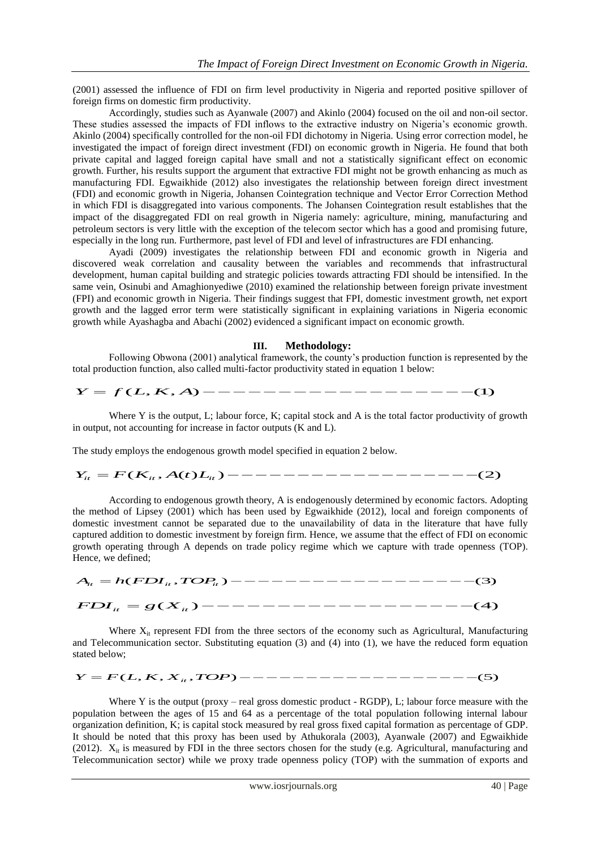(2001) assessed the influence of FDI on firm level productivity in Nigeria and reported positive spillover of foreign firms on domestic firm productivity.

Accordingly, studies such as Ayanwale (2007) and Akinlo (2004) focused on the oil and non-oil sector. These studies assessed the impacts of FDI inflows to the extractive industry on Nigeria"s economic growth. Akinlo (2004) specifically controlled for the non-oil FDI dichotomy in Nigeria. Using error correction model, he investigated the impact of foreign direct investment (FDI) on economic growth in Nigeria. He found that both private capital and lagged foreign capital have small and not a statistically significant effect on economic growth. Further, his results support the argument that extractive FDI might not be growth enhancing as much as manufacturing FDI. Egwaikhide (2012) also investigates the relationship between foreign direct investment (FDI) and economic growth in Nigeria, Johansen Cointegration technique and Vector Error Correction Method in which FDI is disaggregated into various components. The Johansen Cointegration result establishes that the impact of the disaggregated FDI on real growth in Nigeria namely: agriculture, mining, manufacturing and petroleum sectors is very little with the exception of the telecom sector which has a good and promising future, especially in the long run. Furthermore, past level of FDI and level of infrastructures are FDI enhancing.

Ayadi (2009) investigates the relationship between FDI and economic growth in Nigeria and discovered weak correlation and causality between the variables and recommends that infrastructural development, human capital building and strategic policies towards attracting FDI should be intensified. In the same vein, Osinubi and Amaghionyediwe (2010) examined the relationship between foreign private investment (FPI) and economic growth in Nigeria. Their findings suggest that FPI, domestic investment growth, net export growth and the lagged error term were statistically significant in explaining variations in Nigeria economic growth while Ayashagba and Abachi (2002) evidenced a significant impact on economic growth.

### **III. Methodology:**

Following Obwona (2001) analytical framework, the county"s production function is represented by the total production function, also called multi-factor productivity stated in equation 1 below: **III. Methodology:**<br>Following Obwona (2001) analytical framework, the county's production function is represented by the total production function, also called multi-factor productivity stated in equation 1 below:<br> $Y = f(L$ 

Where Y is the output, L; labour force, K; capital stock and A is the total factor productivity of growth in output, not accounting for increase in factor outputs (K and L). For Fig. and the study employs the endogenous<br>The study employs the endogenous<br> $Y_{it} = F(K_{it}, A(t)L_{it})$ where Y is the output, L; labour lorce, K; capital stock and A is the total factor productivity of growth<br>put, not accounting for increase in factor outputs (K and L).<br>udy employs the endogenous growth model specified in

The study employs the endogenous growth model specified in equation 2 below.

According to endogenous growth theory, A is endogenously determined by economic factors. Adopting the method of Lipsey (2001) which has been used by Egwaikhide (2012), local and foreign components of domestic investment cannot be separated due to the unavailability of data in the literature that have fully captured addition to domestic investment by foreign firm. Hence, we assume that the effect of FDI on economic growth operating through A depends on trade policy regime which we capture with trade openness (TOP). Hence, we defined; *A h FDI TOP it it it* ( , ) (3) *FDI g X it it*

( ) (4)

Where  $X_{it}$  represent FDI from the three sectors of the economy such as Agricultural, Manufacturing and Telecommunication sector. Substituting equation (3) and (4) into (1), we have the reduced form equation stated below; Where  $X_{it}$  represent FDI from the three sectors of the economy such as Agricultural, Manufacturing<br>and Telecommunication sector. Substituting equation (3) and (4) into (1), we have the reduced form equation<br>stated below

Where Y is the output (proxy – real gross domestic product - RGDP), L; labour force measure with the population between the ages of 15 and 64 as a percentage of the total population following internal labour organization definition, K; is capital stock measured by real gross fixed capital formation as percentage of GDP. It should be noted that this proxy has been used by Athukorala (2003), Ayanwale (2007) and Egwaikhide (2012).  $X_{it}$  is measured by FDI in the three sectors chosen for the study (e.g. Agricultural, manufacturing and Telecommunication sector) while we proxy trade openness policy (TOP) with the summation of exports and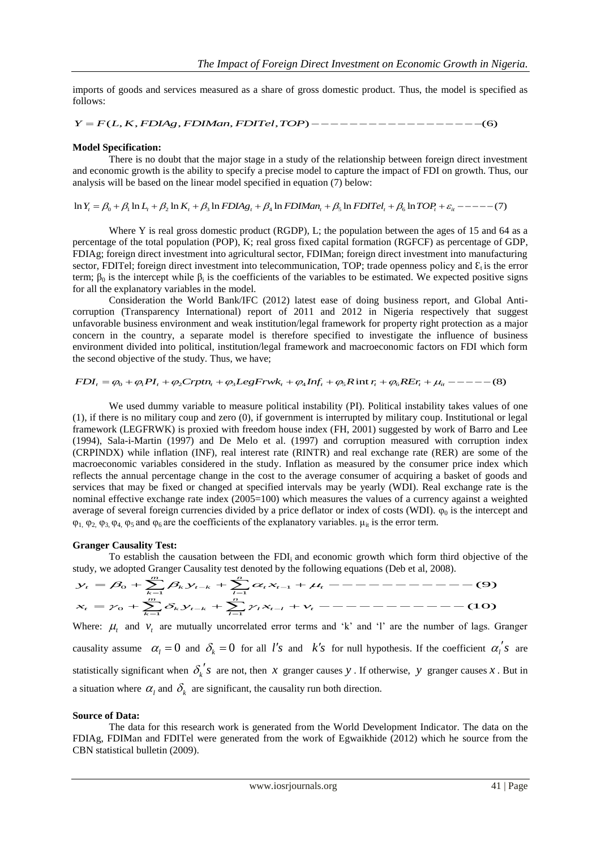imports of goods and services measured as a share of gross domestic product. Thus, the model is specified as follows: *Y F L K FDIAg FDIMan FDITel TOP* ( , , , , , ) (6)

#### **Model Specification:**

There is no doubt that the major stage in a study of the relationship between foreign direct investment and economic growth is the ability to specify a precise model to capture the impact of FDI on growth. Thus, our analysis will be based on the linear model specified in equation (7) below: **Model Spectrication:**<br>
There is no doubt that the major stage in a study of the relationship between foreign direct investment<br>
and economic growth is the ability to specify a precise model to capture the impact of FDI o

Where Y is real gross domestic product (RGDP), L; the population between the ages of 15 and 64 as a percentage of the total population (POP), K; real gross fixed capital formation (RGFCF) as percentage of GDP, FDIAg; foreign direct investment into agricultural sector, FDIMan; foreign direct investment into manufacturing sector, FDITel; foreign direct investment into telecommunication, TOP; trade openness policy and  $\mathcal{E}_t$  is the error term;  $\beta_0$  is the intercept while  $\beta_i$  is the coefficients of the variables to be estimated. We expected positive signs for all the explanatory variables in the model.

Consideration the World Bank/IFC (2012) latest ease of doing business report, and Global Anticorruption (Transparency International) report of 2011 and 2012 in Nigeria respectively that suggest unfavorable business environment and weak institution/legal framework for property right protection as a major concern in the country, a separate model is therefore specified to investigate the influence of business environment divided into political, institution/legal framework and macroeconomic factors on FDI which form the second objective of the study. Thus, we have; Infavorable business environment and weak institution/legal framework for property right protection as a major<br>concern in the country, a separate model is therefore specified to investigate the influence of business<br>envir

$$
FDI_t = \varphi_0 + \varphi_1 PI_t + \varphi_2 C r p t n_t + \varphi_3 LogF r w k_t + \varphi_4 Inf_t + \varphi_5 R \text{ in } r_t + \varphi_6 R E r_t + \mu_t
$$
---(8)

We used dummy variable to measure political instability (PI). Political instability takes values of one (1), if there is no military coup and zero (0), if government is interrupted by military coup. Institutional or legal framework (LEGFRWK) is proxied with freedom house index (FH, 2001) suggested by work of Barro and Lee (1994), Sala-i-Martin (1997) and De Melo et al. (1997) and corruption measured with corruption index (CRPINDX) while inflation (INF), real interest rate (RINTR) and real exchange rate (RER) are some of the macroeconomic variables considered in the study. Inflation as measured by the consumer price index which reflects the annual percentage change in the cost to the average consumer of acquiring a basket of goods and services that may be fixed or changed at specified intervals may be yearly (WDI). Real exchange rate is the nominal effective exchange rate index (2005=100) which measures the values of a currency against a weighted average of several foreign currencies divided by a price deflator or index of costs (WDI).  $\varphi_0$  is the intercept and  $\varphi_1$ ,  $\varphi_2$ ,  $\varphi_3$ ,  $\varphi_4$ ,  $\varphi_5$  and  $\varphi_6$  are the coefficients of the explanatory variables.  $\mu_{it}$  is the error term.

### **Granger Causality Test:**

To establish the causation between the FDI<sub>i</sub> and economic growth which form third objective of the example adopted Granger Causality test denoted by the following equations (Deb et al. 2008).<br>  $\beta_0 + \sum_{n=1}^{\infty} \beta_n y_{n-k} +$ study, we adopted Granger Causality test denoted by the following equations (Deb et al, 2008).

Formula: effective exchange rate index (2005=100) which measures the values of a currency against a weighed average of several foreign currencies divided by a price deflator or index of costs (WDI). 
$$
\varphi_0
$$
 is the intercept and  $\varphi_1$ ,  $\varphi_2$ ,  $\varphi_3$ ,  $\varphi_4$ ,  $\varphi_5$ , and  $\varphi_6$  are the coefficients of the explanatory variables.  $\mu_{it}$  is the error term.

\nGranger Causality Test: To establish the causation between the FDI<sub>i</sub> and economic growth which form third objective of the study, we adopted Granger Causality test denoted by the following equations (Deb et al, 2008).

\n $\mathcal{S}_t = \mathcal{B}_0 + \sum_{k=1}^{n} \mathcal{B}_k \mathcal{S}_{t-k} + \sum_{l=1}^{n} \alpha_t \mathcal{X}_{t-1} + \mu_t$ ,  $------------$  (9)

\n $\mathcal{X}_t = \mathcal{Y}_0 + \sum_{k=1}^{n} \mathcal{S}_k \mathcal{Y}_{t-k} + \sum_{l=1}^{n} \mathcal{Y}_l \mathcal{X}_{t-l} + \nu_t$ ,  $---------$  (10)

\nWhere:  $\mu$  and  $\nu$ , are mutually uncorrelated error terms and 'k' and 'l' are the number of lags. Granger

Where:  $\mu_t$  and  $v_t$  are mutually uncorrelated error terms and 'k' and 'l' are the number of lags. Granger causality assume  $\alpha_l = 0$  and  $\delta_k = 0$  for all *l's* and *k's* for null hypothesis. If the coefficient  $\alpha_l$ 's are statistically significant when  $\delta_k$ 's are not, then x granger causes y. If otherwise, y granger causes x. But in a situation where  $\alpha_l$  and  $\delta_k$  are significant, the causality run both direction.

#### **Source of Data:**

The data for this research work is generated from the World Development Indicator. The data on the FDIAg, FDIMan and FDITel were generated from the work of Egwaikhide (2012) which he source from the CBN statistical bulletin (2009).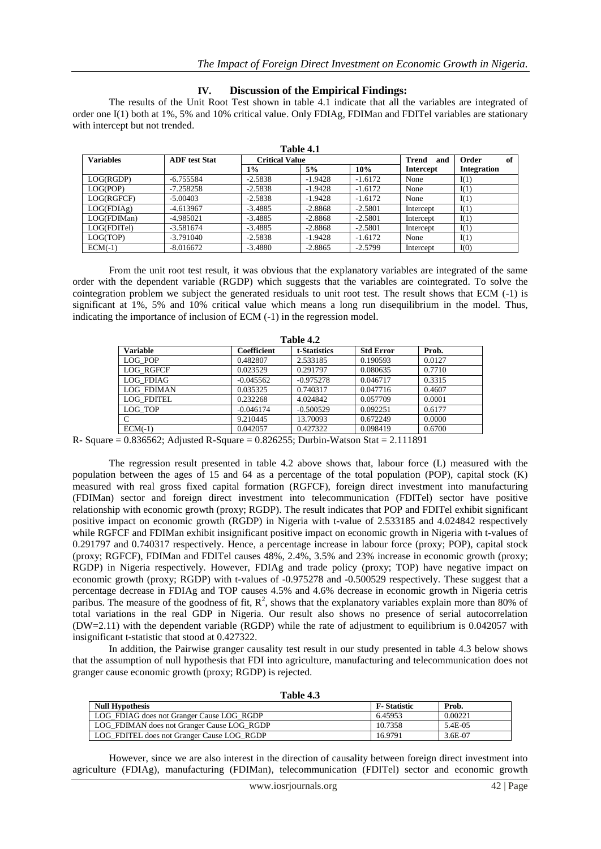## **IV. Discussion of the Empirical Findings:**

The results of the Unit Root Test shown in table 4.1 indicate that all the variables are integrated of order one I(1) both at 1%, 5% and 10% critical value. Only FDIAg, FDIMan and FDITel variables are stationary with intercept but not trended.

| <b>Variables</b> | <b>ADF</b> test Stat | <b>Critical Value</b> |           |           | <b>Trend</b><br>and | Order<br>of |
|------------------|----------------------|-----------------------|-----------|-----------|---------------------|-------------|
|                  |                      | $1\%$                 | 5%        | 10%       | <b>Intercept</b>    | Integration |
| LOG(RGDP)        | $-6.755584$          | $-2.5838$             | $-1.9428$ | $-1.6172$ | None                | I(1)        |
| LOG(POP)         | $-7.258258$          | $-2.5838$             | $-1.9428$ | $-1.6172$ | None                | I(1)        |
| LOG(RGFCF)       | $-5.00403$           | $-2.5838$             | $-1.9428$ | $-1.6172$ | None                | I(1)        |
| LOG(FDIAg)       | $-4.613967$          | $-3.4885$             | $-2.8868$ | $-2.5801$ | Intercept           | I(1)        |
| LOG(FDIMan)      | $-4.985021$          | $-3.4885$             | $-2.8868$ | $-2.5801$ | Intercept           | I(1)        |
| LOG(FDITel)      | $-3.581674$          | $-3.4885$             | $-2.8868$ | $-2.5801$ | Intercept           | I(1)        |
| LOG(TOP)         | $-3.791040$          | $-2.5838$             | $-1.9428$ | $-1.6172$ | None                | I(1)        |
| $ECM(-1)$        | $-8.016672$          | $-3.4880$             | $-2.8865$ | $-2.5799$ | Intercept           | I(0)        |

**Table 4.1**

From the unit root test result, it was obvious that the explanatory variables are integrated of the same order with the dependent variable (RGDP) which suggests that the variables are cointegrated. To solve the cointegration problem we subject the generated residuals to unit root test. The result shows that ECM (-1) is significant at 1%, 5% and 10% critical value which means a long run disequilibrium in the model. Thus, indicating the importance of inclusion of ECM (-1) in the regression model.

| Table 4.2         |             |              |                  |        |  |  |
|-------------------|-------------|--------------|------------------|--------|--|--|
| <b>Variable</b>   | Coefficient | t-Statistics | <b>Std Error</b> | Prob.  |  |  |
| LOG POP           | 0.482807    | 2.533185     | 0.190593         | 0.0127 |  |  |
| <b>LOG RGFCF</b>  | 0.023529    | 0.291797     | 0.080635         | 0.7710 |  |  |
| <b>LOG FDIAG</b>  | $-0.045562$ | $-0.975278$  | 0.046717         | 0.3315 |  |  |
| <b>LOG FDIMAN</b> | 0.035325    | 0.740317     | 0.047716         | 0.4607 |  |  |
| <b>LOG FDITEL</b> | 0.232268    | 4.024842     | 0.057709         | 0.0001 |  |  |
| LOG TOP           | $-0.046174$ | $-0.500529$  | 0.092251         | 0.6177 |  |  |
| C                 | 9.210445    | 13.70093     | 0.672249         | 0.0000 |  |  |
| $ECM(-1)$         | 0.042057    | 0.427322     | 0.098419         | 0.6700 |  |  |

R- Square  $= 0.836562$ ; Adjusted R-Square  $= 0.826255$ ; Durbin-Watson Stat  $= 2.111891$ 

The regression result presented in table 4.2 above shows that, labour force (L) measured with the population between the ages of 15 and 64 as a percentage of the total population (POP), capital stock (K) measured with real gross fixed capital formation (RGFCF), foreign direct investment into manufacturing (FDIMan) sector and foreign direct investment into telecommunication (FDITel) sector have positive relationship with economic growth (proxy; RGDP). The result indicates that POP and FDITel exhibit significant positive impact on economic growth (RGDP) in Nigeria with t-value of 2.533185 and 4.024842 respectively while RGFCF and FDIMan exhibit insignificant positive impact on economic growth in Nigeria with t-values of 0.291797 and 0.740317 respectively. Hence, a percentage increase in labour force (proxy; POP), capital stock (proxy; RGFCF), FDIMan and FDITel causes 48%, 2.4%, 3.5% and 23% increase in economic growth (proxy; RGDP) in Nigeria respectively. However, FDIAg and trade policy (proxy; TOP) have negative impact on economic growth (proxy; RGDP) with t-values of -0.975278 and -0.500529 respectively. These suggest that a percentage decrease in FDIAg and TOP causes 4.5% and 4.6% decrease in economic growth in Nigeria cetris paribus. The measure of the goodness of fit,  $\mathbb{R}^2$ , shows that the explanatory variables explain more than 80% of total variations in the real GDP in Nigeria. Our result also shows no presence of serial autocorrelation (DW=2.11) with the dependent variable (RGDP) while the rate of adjustment to equilibrium is 0.042057 with insignificant t-statistic that stood at 0.427322.

In addition, the Pairwise granger causality test result in our study presented in table 4.3 below shows that the assumption of null hypothesis that FDI into agriculture, manufacturing and telecommunication does not granger cause economic growth (proxy; RGDP) is rejected.

| Table |  |
|-------|--|
|-------|--|

| <b>Null Hypothesis</b>                     | <b>F</b> -Statistic | Prob.   |
|--------------------------------------------|---------------------|---------|
| LOG FDIAG does not Granger Cause LOG RGDP  | 6.45953             | 0.00221 |
| LOG FDIMAN does not Granger Cause LOG RGDP | 10.7358             | 5.4E-05 |
| LOG_FDITEL does not Granger Cause LOG_RGDP | 16.9791             | 3.6E-07 |

However, since we are also interest in the direction of causality between foreign direct investment into agriculture (FDIAg), manufacturing (FDIMan), telecommunication (FDITel) sector and economic growth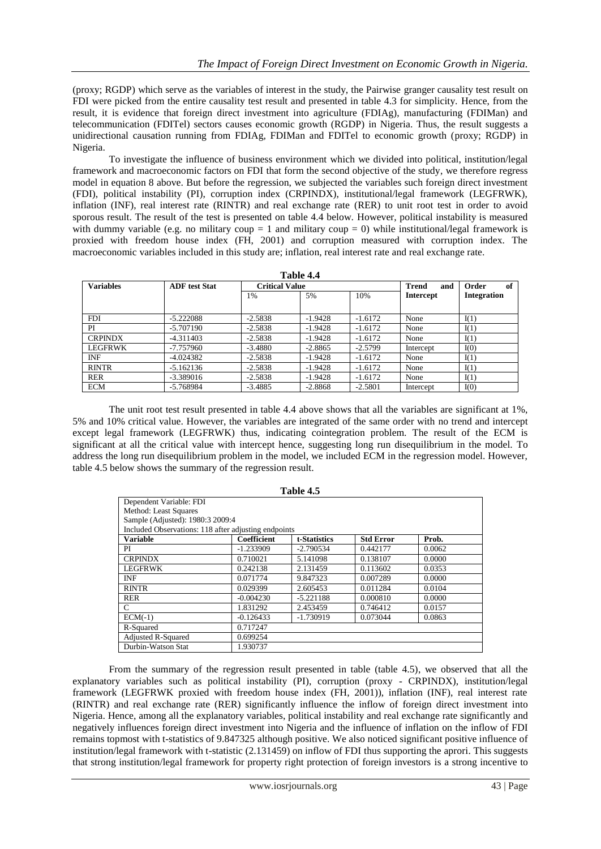(proxy; RGDP) which serve as the variables of interest in the study, the Pairwise granger causality test result on FDI were picked from the entire causality test result and presented in table 4.3 for simplicity. Hence, from the result, it is evidence that foreign direct investment into agriculture (FDIAg), manufacturing (FDIMan) and telecommunication (FDITel) sectors causes economic growth (RGDP) in Nigeria. Thus, the result suggests a unidirectional causation running from FDIAg, FDIMan and FDITel to economic growth (proxy; RGDP) in Nigeria.

To investigate the influence of business environment which we divided into political, institution/legal framework and macroeconomic factors on FDI that form the second objective of the study, we therefore regress model in equation 8 above. But before the regression, we subjected the variables such foreign direct investment (FDI), political instability (PI), corruption index (CRPINDX), institutional/legal framework (LEGFRWK), inflation (INF), real interest rate (RINTR) and real exchange rate (RER) to unit root test in order to avoid sporous result. The result of the test is presented on table 4.4 below. However, political instability is measured with dummy variable (e.g. no military coup = 1 and military coup = 0) while institutional/legal framework is proxied with freedom house index (FH, 2001) and corruption measured with corruption index. The macroeconomic variables included in this study are; inflation, real interest rate and real exchange rate.

| Table 4.4        |                      |                       |           |           |                     |                    |
|------------------|----------------------|-----------------------|-----------|-----------|---------------------|--------------------|
| <b>Variables</b> | <b>ADF</b> test Stat | <b>Critical Value</b> |           |           | <b>Trend</b><br>and | Order<br>of        |
|                  |                      | 1%                    | 5%        | 10%       | Intercept           | <b>Integration</b> |
|                  |                      |                       |           |           |                     |                    |
| <b>FDI</b>       | $-5.222088$          | $-2.5838$             | $-1.9428$ | $-1.6172$ | None                | I(1)               |
| PI               | $-5.707190$          | $-2.5838$             | $-1.9428$ | $-1.6172$ | None                | I(1)               |
| <b>CRPINDX</b>   | $-4.311403$          | $-2.5838$             | $-1.9428$ | $-1.6172$ | None                | I(1)               |
| LEGFRWK          | $-7.757960$          | $-3.4880$             | $-2.8865$ | $-2.5799$ | Intercept           | I(0)               |
| <b>INF</b>       | $-4.024382$          | $-2.5838$             | $-1.9428$ | $-1.6172$ | None                | I(1)               |
| <b>RINTR</b>     | $-5.162136$          | $-2.5838$             | $-1.9428$ | $-1.6172$ | None                | I(1)               |
| <b>RER</b>       | $-3.389016$          | $-2.5838$             | $-1.9428$ | $-1.6172$ | None                | I(1)               |
| ECM              | $-5.768984$          | $-3.4885$             | $-2.8868$ | $-2.5801$ | Intercept           | I(0)               |

The unit root test result presented in table 4.4 above shows that all the variables are significant at 1%, 5% and 10% critical value. However, the variables are integrated of the same order with no trend and intercept except legal framework (LEGFRWK) thus, indicating cointegration problem. The result of the ECM is significant at all the critical value with intercept hence, suggesting long run disequilibrium in the model. To address the long run disequilibrium problem in the model, we included ECM in the regression model. However, table 4.5 below shows the summary of the regression result.

|                                                      |                    | 1 avit 4.9   |                  |        |
|------------------------------------------------------|--------------------|--------------|------------------|--------|
| Dependent Variable: FDI                              |                    |              |                  |        |
| Method: Least Squares                                |                    |              |                  |        |
| Sample (Adjusted): 1980:3 2009:4                     |                    |              |                  |        |
| Included Observations: 118 after adjusting endpoints |                    |              |                  |        |
| <b>Variable</b>                                      | <b>Coefficient</b> | t-Statistics | <b>Std Error</b> | Prob.  |
| PI                                                   | $-1.233909$        | $-2.790534$  | 0.442177         | 0.0062 |
| <b>CRPINDX</b>                                       | 0.710021           | 5.141098     | 0.138107         | 0.0000 |
| <b>LEGFRWK</b>                                       | 0.242138           | 2.131459     | 0.113602         | 0.0353 |
| <b>INF</b>                                           | 0.071774           | 9.847323     | 0.007289         | 0.0000 |
| <b>RINTR</b>                                         | 0.029399           | 2.605453     | 0.011284         | 0.0104 |
| <b>RER</b>                                           | $-0.004230$        | $-5.221188$  | 0.000810         | 0.0000 |
| $\mathcal{C}$                                        | 1.831292           | 2.453459     | 0.746412         | 0.0157 |
| $ECM(-1)$                                            | $-0.126433$        | $-1.730919$  | 0.073044         | 0.0863 |
| R-Squared                                            | 0.717247           |              |                  |        |
| <b>Adjusted R-Squared</b>                            | 0.699254           |              |                  |        |
| Durbin-Watson Stat                                   | 1.930737           |              |                  |        |

**Table 4.5**

From the summary of the regression result presented in table (table 4.5), we observed that all the explanatory variables such as political instability (PI), corruption (proxy - CRPINDX), institution/legal framework (LEGFRWK proxied with freedom house index (FH, 2001)), inflation (INF), real interest rate (RINTR) and real exchange rate (RER) significantly influence the inflow of foreign direct investment into Nigeria. Hence, among all the explanatory variables, political instability and real exchange rate significantly and negatively influences foreign direct investment into Nigeria and the influence of inflation on the inflow of FDI remains topmost with t-statistics of 9.847325 although positive. We also noticed significant positive influence of institution/legal framework with t-statistic (2.131459) on inflow of FDI thus supporting the aprori. This suggests that strong institution/legal framework for property right protection of foreign investors is a strong incentive to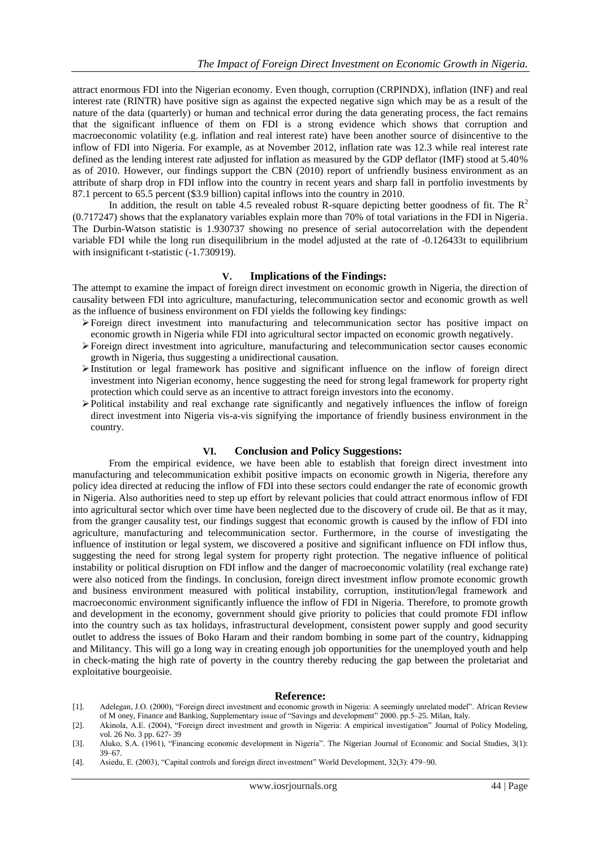attract enormous FDI into the Nigerian economy. Even though, corruption (CRPINDX), inflation (INF) and real interest rate (RINTR) have positive sign as against the expected negative sign which may be as a result of the nature of the data (quarterly) or human and technical error during the data generating process, the fact remains that the significant influence of them on FDI is a strong evidence which shows that corruption and macroeconomic volatility (e.g. inflation and real interest rate) have been another source of disincentive to the inflow of FDI into Nigeria. For example, as at November 2012, inflation rate was 12.3 while real interest rate defined as the lending interest rate adjusted for inflation as measured by the GDP deflator (IMF) stood at 5.40% as of 2010. However, our findings support the CBN (2010) report of unfriendly business environment as an attribute of sharp drop in FDI inflow into the country in recent years and sharp fall in portfolio investments by 87.1 percent to 65.5 percent (\$3.9 billion) capital inflows into the country in 2010.

In addition, the result on table 4.5 revealed robust R-square depicting better goodness of fit. The  $R^2$ (0.717247) shows that the explanatory variables explain more than 70% of total variations in the FDI in Nigeria. The Durbin-Watson statistic is 1.930737 showing no presence of serial autocorrelation with the dependent variable FDI while the long run disequilibrium in the model adjusted at the rate of -0.126433t to equilibrium with insignificant t-statistic  $(-1.730919)$ .

## **V. Implications of the Findings:**

The attempt to examine the impact of foreign direct investment on economic growth in Nigeria, the direction of causality between FDI into agriculture, manufacturing, telecommunication sector and economic growth as well as the influence of business environment on FDI yields the following key findings:

- Foreign direct investment into manufacturing and telecommunication sector has positive impact on economic growth in Nigeria while FDI into agricultural sector impacted on economic growth negatively.
- Foreign direct investment into agriculture, manufacturing and telecommunication sector causes economic growth in Nigeria, thus suggesting a unidirectional causation.
- Institution or legal framework has positive and significant influence on the inflow of foreign direct investment into Nigerian economy, hence suggesting the need for strong legal framework for property right protection which could serve as an incentive to attract foreign investors into the economy.
- $\triangleright$  Political instability and real exchange rate significantly and negatively influences the inflow of foreign direct investment into Nigeria vis-a-vis signifying the importance of friendly business environment in the country.

## **VI. Conclusion and Policy Suggestions:**

From the empirical evidence, we have been able to establish that foreign direct investment into manufacturing and telecommunication exhibit positive impacts on economic growth in Nigeria, therefore any policy idea directed at reducing the inflow of FDI into these sectors could endanger the rate of economic growth in Nigeria. Also authorities need to step up effort by relevant policies that could attract enormous inflow of FDI into agricultural sector which over time have been neglected due to the discovery of crude oil. Be that as it may, from the granger causality test, our findings suggest that economic growth is caused by the inflow of FDI into agriculture, manufacturing and telecommunication sector. Furthermore, in the course of investigating the influence of institution or legal system, we discovered a positive and significant influence on FDI inflow thus, suggesting the need for strong legal system for property right protection. The negative influence of political instability or political disruption on FDI inflow and the danger of macroeconomic volatility (real exchange rate) were also noticed from the findings. In conclusion, foreign direct investment inflow promote economic growth and business environment measured with political instability, corruption, institution/legal framework and macroeconomic environment significantly influence the inflow of FDI in Nigeria. Therefore, to promote growth and development in the economy, government should give priority to policies that could promote FDI inflow into the country such as tax holidays, infrastructural development, consistent power supply and good security outlet to address the issues of Boko Haram and their random bombing in some part of the country, kidnapping and Militancy. This will go a long way in creating enough job opportunities for the unemployed youth and help in check-mating the high rate of poverty in the country thereby reducing the gap between the proletariat and exploitative bourgeoisie.

#### **Reference:**

- [1]. Adelegan, J.O. (2000), "Foreign direct investment and economic growth in Nigeria: A seemingly unrelated model". African Review of M oney, Finance and Banking, Supplementary issue of "Savings and development" 2000. pp.5–25. Milan, Italy.
- [2]. Akinola, A.E. (2004), "Foreign direct investment and growth in Nigeria: A empirical investigation" Journal of Policy Modeling, vol. 26 No. 3 pp. 627- 39
- [3]. Aluko, S.A. (1961), "Financing economic development in Nigeria". The Nigerian Journal of Economic and Social Studies, 3(1): 39–67.
- [4]. Asiedu, E. (2003), "Capital controls and foreign direct investment" World Development, 32(3): 479–90.